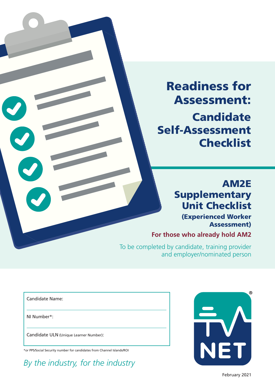Readiness for Assessment: **Candidate** Self-Assessment **Checklist** 

# AM2E **Supplementary** Unit Checklist

(Experienced Worker Assessment)

**For those who already hold AM2**

 To be completed by candidate, training provider and employer/nominated person

Candidate Name:

NI Number\*:

Candidate ULN (Unique Learner Number):

\*or PPS/Social Security number for candidates from Channel Islands/ROI

*By the industry, for the industry*



February 2021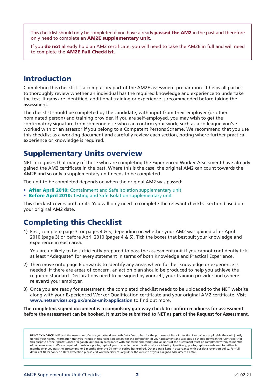This checklist should only be completed if you have already passed the AM2 in the past and therefore only need to complete an **AM2E supplementary unit.** 

If you do not already hold an AM2 certificate, you will need to take the AM2E in full and will need to complete the AM2E Full Checklist.

## Introduction

Completing this checklist is a compulsory part of the AM2E assessment preparation. It helps all parties to thoroughly review whether an individual has the required knowledge and experience to undertake the test. If gaps are identified, additional training or experience is recommended before taking the assessment.

The checklist should be completed by the candidate, with input from their employer (or other nominated person) and training provider. If you are self-employed, you may wish to get the confirmatory signature from someone else who can confirm your work, such as a colleague you've worked with or an assessor if you belong to a Competent Persons Scheme. We recommend that you use this checklist as a working document and carefully review each section, noting where further practical experience or knowledge is required.

## Supplementary Units overview

NET recognises that many of those who are completing the Experienced Worker Assessment have already gained the AM2 certificate in the past. Where this is the case, the original AM2 can count towards the AM2E and so only a supplementary unit needs to be completed.

The unit to be completed depends on when the original AM2 was passed:

- After April 2010: Containment and Safe Isolation supplementary unit
- Before April 2010: Testing and Safe Isolation supplementary unit

This checklist covers both units. You will only need to complete the relevant checklist section based on your original AM2 date.

## Completing this Checklist

1) First, complete page 3, or pages 4 & 5, depending on whether your AM2 was gained after April 2010 (page 3) or before April 2010 (pages 4 & 5). Tick the boxes that best suit your knowledge and experience in each area.

You are unlikely to be sufficiently prepared to pass the assessment unit if you cannot confidently tick at least "Adequate" for every statement in terms of both Knowledge and Practical Experience.

- 2) Then move onto page 6 onwards to identify any areas where further knowledge or experience is needed. If there are areas of concern, an action plan should be produced to help you achieve the required standard. Declarations need to be signed by yourself, your training provider and (where relevant) your employer.
- 3) Once you are ready for assessment, the completed checklist needs to be uploaded to the NET website along with your Experienced Worker Qualification certificate and your original AM2 certificate. Visit **www.netservices.org.uk/am2e-unit-application** to find out more.

**The completed, signed document is a compulsory gateway check to confirm readiness for assessment before the assessment can be booked. It must be submitted to NET as part of the Request for Assessment.**

PRIVACY NOTICE: NET and the Assessment Centre you attend are both Data Controllers for the purposes of Data Protection Law. Where applicable they will jointly uphold your rights. Information that you include in this form is necessary for the completion of your assessment and will only be shared between the Controllers for this purpose or their professional or legal obligations. In accordance with our terms and conditions, all units of the assessment must be completed within 24 months of commencement. We are required to retain a photograph of you to enable the verification of your identity. Specifically, photographs are retained for either 6 months after you pass the assessment, or 6 months after the 24 month period has expired. Other data is kept in accordance with our data retention policy. For full details of NET's policy on Data Protection please visit www.netservices.org.uk or the website of your assigned Assessment Centre.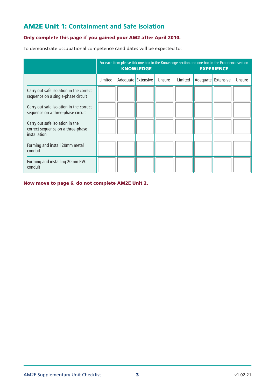### AM2E Unit 1: **Containment and Safe Isolation**

#### Only complete this page if you gained your AM2 after April 2010.

To demonstrate occupational competence candidates will be expected to:

|                                                                                             | For each item please tick one box in the Knowledge section and one box in the Experience section<br><b>KNOWLEDGE</b><br><b>EXPERIENCE</b> |  |                    |        |         |                    |        |
|---------------------------------------------------------------------------------------------|-------------------------------------------------------------------------------------------------------------------------------------------|--|--------------------|--------|---------|--------------------|--------|
|                                                                                             | Limited                                                                                                                                   |  | Adequate Extensive | Unsure | Limited | Adequate Extensive | Unsure |
| Carry out safe isolation in the correct<br>sequence on a single-phase circuit               |                                                                                                                                           |  |                    |        |         |                    |        |
| Carry out safe isolation in the correct<br>sequence on a three-phase circuit                |                                                                                                                                           |  |                    |        |         |                    |        |
| Carry out safe isolation in the<br>correct sequence on a three-phase<br><i>installation</i> |                                                                                                                                           |  |                    |        |         |                    |        |
| Forming and install 20mm metal<br>conduit                                                   |                                                                                                                                           |  |                    |        |         |                    |        |
| Forming and installing 20mm PVC<br>conduit                                                  |                                                                                                                                           |  |                    |        |         |                    |        |

Now move to page 6, do not complete AM2E Unit 2.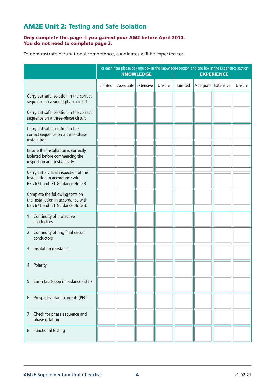## AM2E Unit 2: **Testing and Safe Isolation**

#### Only complete this page if you gained your AM2 before April 2010. You do not need to complete page 3.

To demonstrate occupational competence, candidates will be expected to:

|                                                                                                            | For each item please tick one box in the Knowledge section and one box in the Experience section<br><b>KNOWLEDGE</b><br><b>EXPERIENCE</b> |                    |  |        |         |                      |        |
|------------------------------------------------------------------------------------------------------------|-------------------------------------------------------------------------------------------------------------------------------------------|--------------------|--|--------|---------|----------------------|--------|
|                                                                                                            | Limited                                                                                                                                   | Adequate Extensive |  | Unsure | Limited | Adequate   Extensive | Unsure |
| Carry out safe isolation in the correct<br>sequence on a single-phase circuit                              |                                                                                                                                           |                    |  |        |         |                      |        |
| Carry out safe isolation in the correct<br>sequence on a three-phase circuit                               |                                                                                                                                           |                    |  |        |         |                      |        |
| Carry out safe isolation in the<br>correct sequence on a three-phase<br>installation                       |                                                                                                                                           |                    |  |        |         |                      |        |
| Ensure the installation is correctly<br>isolated before commencing the<br>inspection and test activity     |                                                                                                                                           |                    |  |        |         |                      |        |
| Carry out a visual inspection of the<br>installation in accordance with<br>BS 7671 and IET Guidance Note 3 |                                                                                                                                           |                    |  |        |         |                      |        |
| Complete the following tests on<br>the installation in accordance with<br>BS 7671 and IET Guidance Note 3: |                                                                                                                                           |                    |  |        |         |                      |        |
| Continuity of protective<br>1<br>conductors                                                                |                                                                                                                                           |                    |  |        |         |                      |        |
| Continuity of ring final circuit<br>$\mathbf{2}$<br>conductors                                             |                                                                                                                                           |                    |  |        |         |                      |        |
| Insulation resistance<br>3                                                                                 |                                                                                                                                           |                    |  |        |         |                      |        |
| Polarity<br>4                                                                                              |                                                                                                                                           |                    |  |        |         |                      |        |
| Earth fault-loop impedance (EFLI)<br>5.                                                                    |                                                                                                                                           |                    |  |        |         |                      |        |
| Prospective fault current (PFC)<br>6                                                                       |                                                                                                                                           |                    |  |        |         |                      |        |
| Check for phase sequence and<br>7<br>phase rotation                                                        |                                                                                                                                           |                    |  |        |         |                      |        |
| <b>Functional testing</b><br>8                                                                             |                                                                                                                                           |                    |  |        |         |                      |        |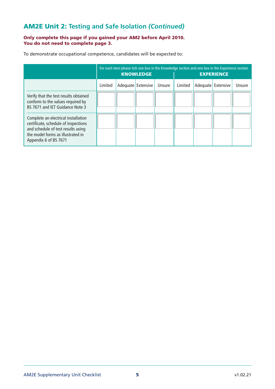## AM2E Unit 2: **Testing and Safe Isolation** *(Continued)*

#### Only complete this page if you gained your AM2 before April 2010. You do not need to complete page 3.

To demonstrate occupational competence, candidates will be expected to:

|                                                                                                                                                                                 | <b>KNOWLEDGE</b> |  |                    |        | For each item please tick one box in the Knowledge section and one box in the Experience section<br><b>EXPERIENCE</b> |  |                    |        |
|---------------------------------------------------------------------------------------------------------------------------------------------------------------------------------|------------------|--|--------------------|--------|-----------------------------------------------------------------------------------------------------------------------|--|--------------------|--------|
|                                                                                                                                                                                 | Limited          |  | Adequate Extensive | Unsure | Limited                                                                                                               |  | Adequate Extensive | Unsure |
| Verify that the test results obtained<br>conform to the values required by<br>BS 7671 and IFT Guidance Note 3                                                                   |                  |  |                    |        |                                                                                                                       |  |                    |        |
| Complete an electrical installation<br>certificate, schedule of inspections<br>and schedule of test results using<br>the model forms as illustrated in<br>Appendix 6 of BS 7671 |                  |  |                    |        |                                                                                                                       |  |                    |        |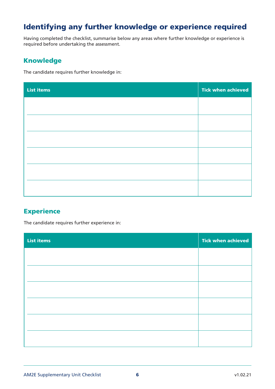## Identifying any further knowledge or experience required

Having completed the checklist, summarise below any areas where further knowledge or experience is required before undertaking the assessment.

#### Knowledge

The candidate requires further knowledge in:

| <b>List items</b> | <b>Tick when achieved</b> |
|-------------------|---------------------------|
|                   |                           |
|                   |                           |
|                   |                           |
|                   |                           |
|                   |                           |
|                   |                           |
|                   |                           |

#### **Experience**

The candidate requires further experience in:

| <b>List items</b> | <b>Tick when achieved</b> |
|-------------------|---------------------------|
|                   |                           |
|                   |                           |
|                   |                           |
|                   |                           |
|                   |                           |
|                   |                           |
|                   |                           |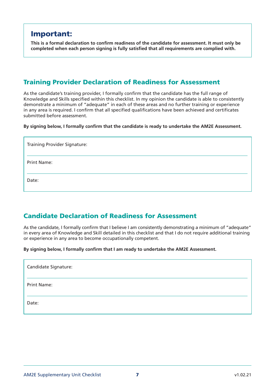## Important:

**This is a formal declaration to confirm readiness of the candidate for assessment. It must only be completed when each person signing is fully satisfied that all requirements are complied with.**

#### Training Provider Declaration of Readiness for Assessment

As the candidate's training provider, I formally confirm that the candidate has the full range of Knowledge and Skills specified within this checklist. In my opinion the candidate is able to consistently demonstrate a minimum of "adequate" in each of these areas and no further training or experience in any area is required. I confirm that all specified qualifications have been achieved and certificates submitted before assessment.

**By signing below, I formally confirm that the candidate is ready to undertake the AM2E Assessment.**

| <b>Training Provider Signature:</b> |  |
|-------------------------------------|--|
| <b>Print Name:</b>                  |  |
| Date:                               |  |

#### Candidate Declaration of Readiness for Assessment

As the candidate, I formally confirm that I believe I am consistently demonstrating a minimum of "adequate" in every area of Knowledge and Skill detailed in this checklist and that I do not require additional training or experience in any area to become occupationally competent.

**By signing below, I formally confirm that I am ready to undertake the AM2E Assessment.**

| Candidate Signature: |  |
|----------------------|--|
| <b>Print Name:</b>   |  |
| Date:                |  |